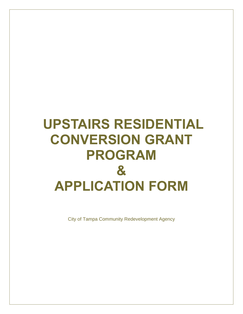# **UPSTAIRS RESIDENTIAL CONVERSION GRANT PROGRAM & APPLICATION FORM**

City of Tampa Community Redevelopment Agency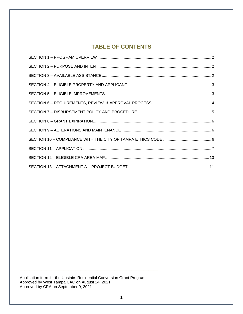# **TABLE OF CONTENTS**

Application form for the Upstairs Residential Conversion Grant Program Approved by West Tampa CAC on August 24, 2021 Approved by CRA on September 9, 2021

\_\_\_\_\_\_\_\_\_\_\_\_\_\_\_\_\_\_\_\_\_\_\_\_\_\_\_\_\_\_\_\_\_\_\_\_\_\_\_\_\_\_\_\_\_\_\_\_\_\_\_\_\_\_\_\_\_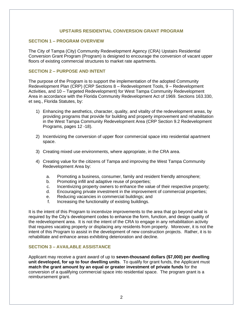#### **UPSTAIRS RESIDENTIAL CONVERSION GRANT PROGRAM**

#### <span id="page-2-0"></span>**SECTION 1 – PROGRAM OVERVIEW**

The City of Tampa (City) Community Redevelopment Agency (CRA) Upstairs Residential Conversion Grant Program (Program) is designed to encourage the conversion of vacant upper floors of existing commercial structures to market rate apartments.

#### <span id="page-2-1"></span>**SECTION 2 – PURPOSE AND INTENT**

The purpose of the Program is to support the implementation of the adopted Community Redevelopment Plan (CRP) (CRP Sections 8 – Redevelopment Tools, 9 – Redevelopment Activities, and 10 – Targeted Redevelopment) for West Tampa Community Redevelopment Area in accordance with the Florida Community Redevelopment Act of 1969. Sections 163.330, et seq., Florida Statutes, by:

- 1) Enhancing the aesthetics, character, quality, and vitality of the redevelopment areas, by providing programs that provide for building and property improvement and rehabilitation in the West Tampa Community Redevelopment Area (CRP Section 9.2 Redevelopment Programs, pages 12 -18).
- 2) Incentivizing the conversion of upper floor commercial space into residential apartment space.
- 3) Creating mixed use environments, where appropriate, in the CRA area.
- 4) Creating value for the citizens of Tampa and improving the West Tampa Community Redevelopment Area by:
	- a. Promoting a business, consumer, family and resident friendly atmosphere;
	- b. Promoting infill and adaptive reuse of properties;
	- c. Incentivizing property owners to enhance the value of their respective property;
	- d. Encouraging private investment in the improvement of commercial properties;
	- e. Reducing vacancies in commercial buildings; and
	- f. Increasing the functionality of existing buildings.

It is the intent of this Program to incentivize improvements to the area that go beyond what is required by the City's development codes to enhance the form, function, and design quality of the redevelopment area. It is not the intent of the CRA to engage in any rehabilitation activity that requires vacating property or displacing any residents from property. Moreover, it is not the intent of this Program to assist in the development of new construction projects. Rather, it is to rehabilitate and enhance areas exhibiting deterioration and decline.

#### <span id="page-2-2"></span>**SECTION 3 – AVAILABLE ASSISTANCE**

Applicant may receive a grant award of up to **seven-thousand dollars (\$7,000) per dwelling unit developed, for up to four dwelling units**. To qualify for grant funds, the Applicant must **match the grant amount by an equal or greater investment of private funds** for the conversion of a qualifying commercial space into residential space. The program grant is a reimbursement grant.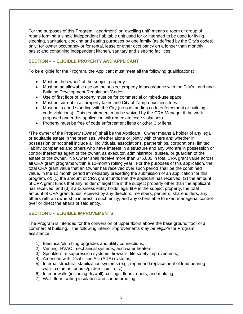For the purposes of this Program, "apartment" or "dwelling unit" means a room or group of rooms forming a single independent habitable unit used for or intended to be used for living, sleeping, sanitation, cooking and eating purposes by one family (as defined by the City's codes) only; for owner occupancy or for rental, lease or other occupancy on a longer than monthly basis; and containing independent kitchen, sanitary and sleeping facilities.

#### <span id="page-3-0"></span>**SECTION 4 – ELIGIBLE PROPERTY AND APPLICANT**

To be eligible for the Program, the Applicant must meet all the following qualifications:

- Must be the owner<sup>\*</sup> of the subject property.
- Must be an allowable use on the subject property in accordance with the City's Land and Building Development Regulations/Codes.
- Use of first floor of property must be for commercial or mixed-use space.
- Must be current in all property taxes and City of Tampa business fees.
- Must be in good standing with the City (no outstanding code enforcement or building code violations). This requirement may be waived by the CRA Manager if the work proposed under this application will remediate code violations).
- Property must be free of code enforcement liens or other City liens.

\*The owner of the Property (Owner) shall be the Applicant. Owner means a holder of any legal or equitable estate in the premises, whether alone or jointly with others and whether in possession or not shall include all individuals, associations, partnerships, corporations, limited liability companies and others who have interest in a structure and any who are in possession or control thereof as agent of the owner, as executor, administrator, trustee, or guardian of the estate of the owner. No Owner shall receive more than \$75,000 in total CRA grant value across all CRA grant programs within a 12-month rolling year. For the purposes of this application, the total CRA grant value that an Owner has received over such period shall be the combined value, in the 12 month period immediately preceding the submission of an application for this program, of: (1) the amount of CRA grant funds that the applicant has received; (2) the amount of CRA grant funds that any holder of legal title in the subject property other than the applicant has received; and (3) if a business entity holds legal title in the subject property, the total amount of CRA grant funds received by any directors, members, partners, shareholders, any others with an ownership interest in such entity, and any others able to exert managerial control over or direct the affairs of said entity.

#### <span id="page-3-1"></span>**SECTION 5 – ELIGIBLE IMPROVEMENTS**

The Program is intended for the conversion of upper floors above the base ground floor of a commercial building. The following interior improvements *may be eligible* for Program assistance:

- 1) Electrical/plumbing upgrades and utility connections;
- 2) Venting, HVAC, mechanical systems, and water heaters;
- 3) Sprinkler/fire suppression systems, firewalls, life safety improvements;
- 4) American with Disabilities Act (ADA) systems;
- 5) Internal structural stabilization systems (e.g., repair and replacement of load bearing walls, columns, beams/girders, joist, etc.);
- 6) Interior walls (including drywall), ceilings, floors, doors, and molding;
- 7) Wall, floor, ceiling insulation and sound proofing;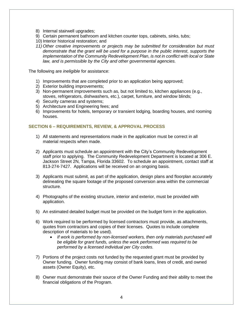- 8) Internal stairwell upgrades;
- 9) Certain permanent bathroom and kitchen counter tops, cabinets, sinks, tubs;
- 10) Interior historical restoration; and
- *11) Other creative improvements or projects may be submitted for consideration but must demonstrate that the grant will be used for a purpose in the public interest, supports the implementation of the Community Redevelopment Plan, is not in conflict with local or State law, and is permissible by the City and other governmental agencies.*

The following are *ineligible* for assistance:

- 1) Improvements that are completed prior to an application being approved;
- 2) Exterior building improvements;
- 3) Non-permanent improvements such as, but not limited to, kitchen appliances (e.g., stoves, refrigerators, dishwashers, etc.), carpet, furniture, and window blinds;
- 4) Security cameras and systems;
- 5) Architecture and Engineering fees; and
- 6) Improvements for hotels, temporary or transient lodging, boarding houses, and rooming houses.

#### <span id="page-4-0"></span>**SECTION 6 – REQUIREMENTS, REVIEW, & APPROVAL PROCESS**

- 1) All statements and representations made in the application must be correct in all material respects when made.
- 2) Applicants must schedule an appointment with the City's Community Redevelopment staff prior to applying. The Community Redevelopment Department is located at 306 E. Jackson Street 2N, Tampa, Florida 33602. To schedule an appointment, contact staff at 813-274-7427. Applications will be received on an ongoing basis.
- 3) Applicants must submit, as part of the application, design plans and floorplan accurately delineating the square footage of the proposed conversion area within the commercial structure.
- 4) Photographs of the existing structure, interior and exterior, must be provided with application.
- 5) An estimated detailed budget must be provided on the budget form in the application.
- 6) Work required to be performed by licensed contractors must provide, as attachments, quotes from contractors and copies of their licenses. Quotes to include complete description of materials to be used).
	- *If work is performed by non-licensed workers, then only materials purchased will be eligible for grant funds, unless the work performed was required to be performed by a licensed individual per City codes.*
- 7) Portions of the project costs not funded by the requested grant must be provided by Owner funding. Owner funding may consist of bank loans, lines of credit, and owned assets (Owner Equity), etc.
- 8) Owner must demonstrate their source of the Owner Funding and their ability to meet the financial obligations of the Program.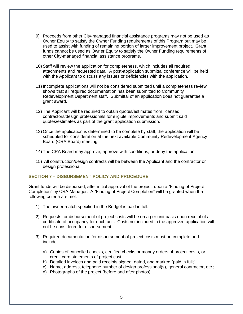- 9) Proceeds from other City-managed financial assistance programs may not be used as Owner Equity to satisfy the Owner Funding requirements of this Program but may be used to assist with funding of remaining portion of larger improvement project. Grant funds cannot be used as Owner Equity to satisfy the Owner Funding requirements of other City-managed financial assistance programs.
- 10) Staff will review the application for completeness, which includes all required attachments and requested data. A post-application submittal conference will be held with the Applicant to discuss any issues or deficiencies with the application.
- 11) Incomplete applications will not be considered submitted until a completeness review shows that all required documentation has been submitted to Community Redevelopment Department staff. Submittal of an application does not guarantee a grant award.
- 12) The Applicant will be required to obtain quotes/estimates from licensed contractors/design professionals for eligible improvements and submit said quotes/estimates as part of the grant application submission.
- 13) Once the application is determined to be complete by staff, the application will be scheduled for consideration at the next available Community Redevelopment Agency Board (CRA Board) meeting.
- 14) The CRA Board may approve, approve with conditions, or deny the application.
- 15) All construction/design contracts will be between the Applicant and the contractor or design professional.

#### <span id="page-5-0"></span>**SECTION 7 – DISBURSEMENT POLICY AND PROCEDURE**

Grant funds will be disbursed, after initial approval of the project, upon a "Finding of Project Completion" by CRA Manager. A "Finding of Project Completion" will be granted when the following criteria are met:

- 1) The owner match specified in the Budget is paid in full.
- 2) Requests for disbursement of project costs will be on a per unit basis upon receipt of a certificate of occupancy for each unit. Costs not included in the approved application will not be considered for disbursement.
- 3) Required documentation for disbursement of project costs must be complete and include:
	- a) Copies of cancelled checks, certified checks or money orders of project costs, or credit card statements of project cost;
	- b) Detailed invoices and paid receipts signed, dated, and marked "paid in full;"
	- c) Name, address, telephone number of design professional(s), general contractor, etc.;
	- d) Photographs of the project (before and after photos).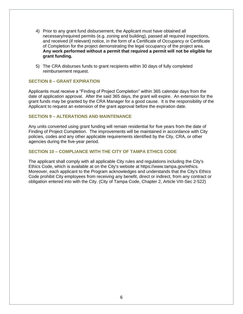- 4) Prior to any grant fund disbursement, the Applicant must have obtained all necessary/required permits (e.g. zoning and building), passed all required inspections, and received (if relevant) notice, in the form of a Certificate of Occupancy or Certificate of Completion for the project demonstrating the legal occupancy of the project area. **Any work performed without a permit that required a permit will not be eligible for grant funding.**
- 5) The CRA disburses funds to grant recipients within 30 days of fully completed reimbursement request.

#### <span id="page-6-0"></span>**SECTION 8 – GRANT EXPIRATION**

Applicants must receive a "Finding of Project Completion" within 365 calendar days from the date of application approval. After the said 365 days, the grant will expire. An extension for the grant funds may be granted by the CRA Manager for a good cause. It is the responsibility of the Applicant to request an extension of the grant approval before the expiration date.

#### <span id="page-6-1"></span>**SECTION 9 – ALTERATIONS AND MAINTENANCE**

Any units converted using grant funding will remain residential for five years from the date of Finding of Project Completion. The improvements will be maintained in accordance with City policies, codes and any other applicable requirements identified by the City, CRA, or other agencies during the five-year period.

#### <span id="page-6-2"></span>**SECTION 10 – COMPLIANCE WITH THE CITY OF TAMPA ETHICS CODE**

The applicant shall comply with all applicable City rules and regulations including the City's Ethics Code, which is available at on the City's website at https://www.tampa.gov/ethics. Moreover, each applicant to the Program acknowledges and understands that the City's Ethics Code prohibit City employees from receiving any benefit, direct or indirect, from any contract or obligation entered into with the City. (City of Tampa Code, Chapter 2, Article VIII-Sec 2-522)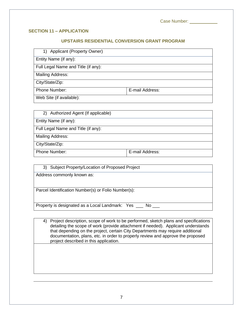Case Number: \_\_\_\_\_\_\_\_\_\_\_

## <span id="page-7-0"></span>**SECTION 11 – APPLICATION**

#### **UPSTAIRS RESIDENTIAL CONVERSION GRANT PROGRAM**

| 1) Applicant (Property Owner) |  |
|-------------------------------|--|
|-------------------------------|--|

Entity Name (if any):

Full Legal Name and Title (if any):

Mailing Address:

City/State/Zip:

Phone Number:  $\vert$  E-mail Address:

Web Site (if available):

| 2) Authorized Agent (If applicable) |                 |
|-------------------------------------|-----------------|
| Entity Name (if any):               |                 |
| Full Legal Name and Title (if any): |                 |
| <b>Mailing Address:</b>             |                 |
| City/State/Zip:                     |                 |
| <b>Phone Number:</b>                | E-mail Address: |

| 3) Subject Property/Location of Proposed Project         |
|----------------------------------------------------------|
| Address commonly known as:                               |
|                                                          |
| Parcel Identification Number(s) or Folio Number(s):      |
|                                                          |
| Property is designated as a Local Landmark: Yes __ No __ |

4) Project description, scope of work to be performed, sketch plans and specifications detailing the scope of work (provide attachment if needed). Applicant understands that depending on the project, certain City Departments may require additional documentation, plans, etc. in order to properly review and approve the proposed project described in this application.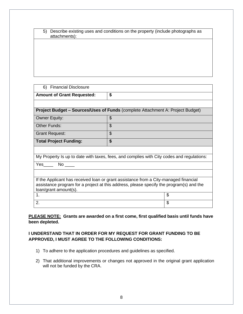| 5) Describe existing uses and conditions on the property (include photographs as |  |
|----------------------------------------------------------------------------------|--|
| attachments):                                                                    |  |

| 6) Financial Disclosure                                                                   |                                                                                      |    |  |
|-------------------------------------------------------------------------------------------|--------------------------------------------------------------------------------------|----|--|
| <b>Amount of Grant Requested:</b>                                                         | \$                                                                                   |    |  |
|                                                                                           |                                                                                      |    |  |
| <b>Project Budget – Sources/Uses of Funds (complete Attachment A: Project Budget)</b>     |                                                                                      |    |  |
| <b>Owner Equity:</b>                                                                      | \$                                                                                   |    |  |
| <b>Other Funds:</b>                                                                       | \$                                                                                   |    |  |
| <b>Grant Request:</b>                                                                     | \$                                                                                   |    |  |
| <b>Total Project Funding:</b>                                                             | \$                                                                                   |    |  |
|                                                                                           |                                                                                      |    |  |
| My Property Is up to date with taxes, fees, and complies with City codes and regulations: |                                                                                      |    |  |
| $Yes$ No $\_\_$                                                                           |                                                                                      |    |  |
|                                                                                           |                                                                                      |    |  |
|                                                                                           | If the Applicant has received loan or grant assistance from a City-managed financial |    |  |
| assistance program for a project at this address, please specify the program(s) and the   |                                                                                      |    |  |
| loan/grant amount(s).                                                                     |                                                                                      |    |  |
| 1.                                                                                        |                                                                                      | \$ |  |
| 2.                                                                                        |                                                                                      | \$ |  |

**PLEASE NOTE: Grants are awarded on a first come, first qualified basis until funds have been depleted.** 

# **I UNDERSTAND THAT IN ORDER FOR MY REQUEST FOR GRANT FUNDING TO BE APPROVED, I MUST AGREE TO THE FOLLOWING CONDITIONS:**

- 1) To adhere to the application procedures and guidelines as specified.
- 2) That additional improvements or changes not approved in the original grant application will not be funded by the CRA.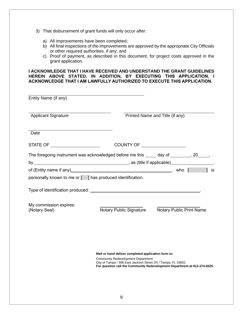- 3) That disbursement of grant funds will only occur after:
	- a) All improvements have been completed;
	- b) All final inspections of the improvements are approved by the appropriate City Officials or other required authorities, if any; and
	- c) Proof of payment, as described in this document, for project costs approved in the grant application.

**I ACKNOWLEDGE THAT I HAVE RECEIVED AND UNDERSTAND THE GRANT GUIDELINES HEREIN ABOVE STATED. IN ADDITION, BY EXECUTING THIS APPLICATION, I ACKNOWLEDGE THAT I AM LAWFULLY AUTHORIZED TO EXECUTE THIS APPLICATION.**

| Entity Name (if any)                                                                    |                                                                                                                                                                                                                                               |                                 |    |
|-----------------------------------------------------------------------------------------|-----------------------------------------------------------------------------------------------------------------------------------------------------------------------------------------------------------------------------------------------|---------------------------------|----|
| <b>Applicant Signature</b>                                                              |                                                                                                                                                                                                                                               | Printed Name and Title (if any) |    |
| Date                                                                                    |                                                                                                                                                                                                                                               |                                 |    |
| STATE OF ______________________                                                         | COUNTY OF _____________________                                                                                                                                                                                                               |                                 |    |
| The foregoing instrument was acknowledged before me this _____ day of ________, 20____, |                                                                                                                                                                                                                                               |                                 |    |
|                                                                                         |                                                                                                                                                                                                                                               |                                 | is |
| personally known to me or [ ] has produced identification.                              |                                                                                                                                                                                                                                               |                                 |    |
|                                                                                         |                                                                                                                                                                                                                                               |                                 |    |
| My commission expires:<br>(Notary Seal)                                                 | Notary Public Signature                                                                                                                                                                                                                       | Notary Public Print Name        |    |
|                                                                                         | Mail or hand deliver completed application form to:<br><b>Community Redevelopment Department</b><br>City of Tampa / 306 East Jackson Street 2N / Tampa, FL 33602<br>For question call the Community Redevelopment Department at 813-274-8325. |                                 |    |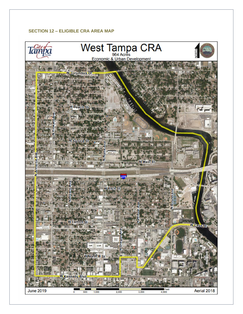# <span id="page-10-0"></span>**SECTION 12 – ELIGIBLE CRA AREA MAP**